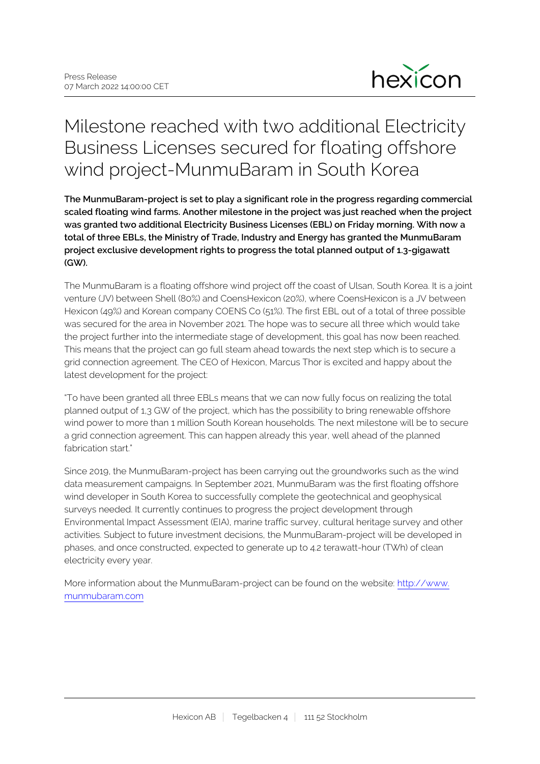

# Milestone reached with two additional Electricity Business Licenses secured for floating offshore wind project-MunmuBaram in South Korea

**The MunmuBaram-project is set to play a significant role in the progress regarding commercial scaled floating wind farms. Another milestone in the project was just reached when the project was granted two additional Electricity Business Licenses (EBL) on Friday morning. With now a total of three EBLs, the Ministry of Trade, Industry and Energy has granted the MunmuBaram project exclusive development rights to progress the total planned output of 1.3-gigawatt (GW).**

The MunmuBaram is a floating offshore wind project off the coast of Ulsan, South Korea. It is a joint venture (JV) between Shell (80%) and CoensHexicon (20%), where CoensHexicon is a JV between Hexicon (49%) and Korean company COENS Co (51%). The first EBL out of a total of three possible was secured for the area in November 2021. The hope was to secure all three which would take the project further into the intermediate stage of development, this goal has now been reached. This means that the project can go full steam ahead towards the next step which is to secure a grid connection agreement. The CEO of Hexicon, Marcus Thor is excited and happy about the latest development for the project:

"To have been granted all three EBLs means that we can now fully focus on realizing the total planned output of 1,3 GW of the project, which has the possibility to bring renewable offshore wind power to more than 1 million South Korean households. The next milestone will be to secure a grid connection agreement. This can happen already this year, well ahead of the planned fabrication start."

Since 2019, the MunmuBaram-project has been carrying out the groundworks such as the wind data measurement campaigns. In September 2021, MunmuBaram was the first floating offshore wind developer in South Korea to successfully complete the geotechnical and geophysical surveys needed. It currently continues to progress the project development through Environmental Impact Assessment (EIA), marine traffic survey, cultural heritage survey and other activities. Subject to future investment decisions, the MunmuBaram-project will be developed in phases, and once constructed, expected to generate up to 4.2 terawatt-hour (TWh) of clean electricity every year.

More information about the MunmuBaram-project can be found on the website: [http://www.](http://www.munmubaram.com) [munmubaram.com](http://www.munmubaram.com)